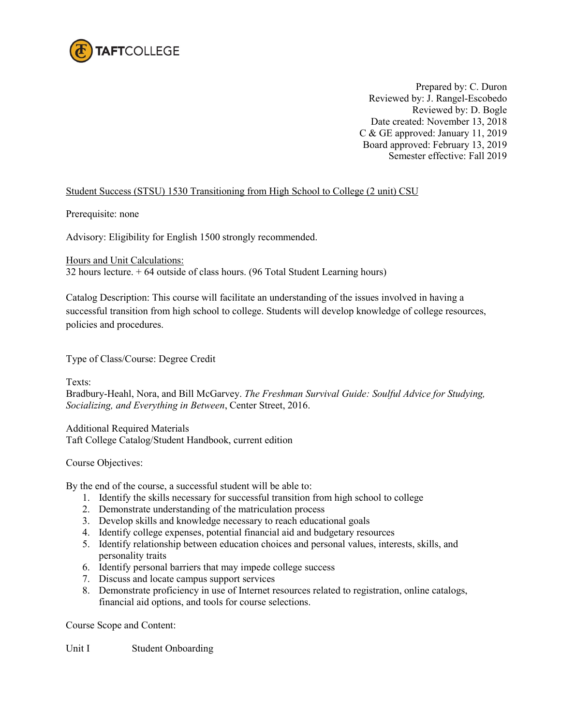

Prepared by: C. Duron Reviewed by: J. Rangel-Escobedo Reviewed by: D. Bogle Date created: November 13, 2018 C & GE approved: January 11, 2019 Board approved: February 13, 2019 Semester effective: Fall 2019

## Student Success (STSU) 1530 Transitioning from High School to College (2 unit) CSU

Prerequisite: none

Advisory: Eligibility for English 1500 strongly recommended.

Hours and Unit Calculations:

32 hours lecture. + 64 outside of class hours. (96 Total Student Learning hours)

Catalog Description: This course will facilitate an understanding of the issues involved in having a successful transition from high school to college. Students will develop knowledge of college resources, policies and procedures.

Type of Class/Course: Degree Credit

Texts:

Bradbury-Heahl, Nora, and Bill McGarvey. *The Freshman Survival Guide: Soulful Advice for Studying, Socializing, and Everything in Between*, Center Street, 2016.

Additional Required Materials Taft College Catalog/Student Handbook, current edition

Course Objectives:

By the end of the course, a successful student will be able to:

- 1. Identify the skills necessary for successful transition from high school to college
- 2. Demonstrate understanding of the matriculation process
- 3. Develop skills and knowledge necessary to reach educational goals
- 4. Identify college expenses, potential financial aid and budgetary resources
- 5. Identify relationship between education choices and personal values, interests, skills, and personality traits
- 6. Identify personal barriers that may impede college success
- 7. Discuss and locate campus support services
- 8. Demonstrate proficiency in use of Internet resources related to registration, online catalogs, financial aid options, and tools for course selections.

Course Scope and Content:

Unit I Student Onboarding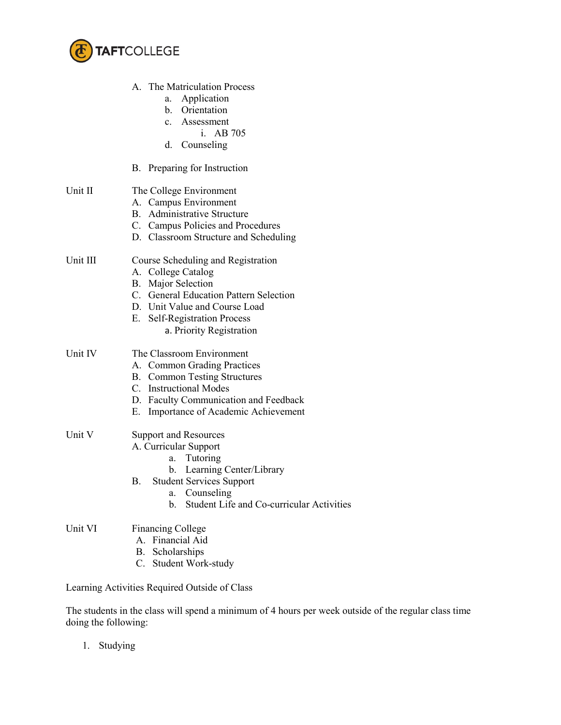

|          | A. The Matriculation Process<br>Application<br>а.<br>b. Orientation<br>c. Assessment<br>i. AB 705<br>d.<br>Counseling                                                                                                                       |
|----------|---------------------------------------------------------------------------------------------------------------------------------------------------------------------------------------------------------------------------------------------|
|          | B. Preparing for Instruction                                                                                                                                                                                                                |
| Unit II  | The College Environment<br>A. Campus Environment<br><b>Administrative Structure</b><br>B.<br>C. Campus Policies and Procedures<br>D. Classroom Structure and Scheduling                                                                     |
| Unit III | Course Scheduling and Registration<br>A. College Catalog<br><b>B.</b> Major Selection<br>C. General Education Pattern Selection<br>D. Unit Value and Course Load<br>E. Self-Registration Process<br>a. Priority Registration                |
| Unit IV  | The Classroom Environment<br>A. Common Grading Practices<br><b>B.</b> Common Testing Structures<br>C. Instructional Modes<br>D. Faculty Communication and Feedback<br>Importance of Academic Achievement<br>Е.                              |
| Unit V   | <b>Support and Resources</b><br>A. Curricular Support<br>Tutoring<br>a.<br>Learning Center/Library<br>b.<br><b>Student Services Support</b><br>В.<br>Counseling<br>a.<br><b>Student Life and Co-curricular Activities</b><br>$\mathbf{b}$ . |
| Unit VI  | <b>Financing College</b><br>A. Financial Aid<br>B. Scholarships<br>C. Student Work-study                                                                                                                                                    |
|          | Learning Activities Required Outside of Class                                                                                                                                                                                               |

The students in the class will spend a minimum of 4 hours per week outside of the regular class time doing the following:

1. Studying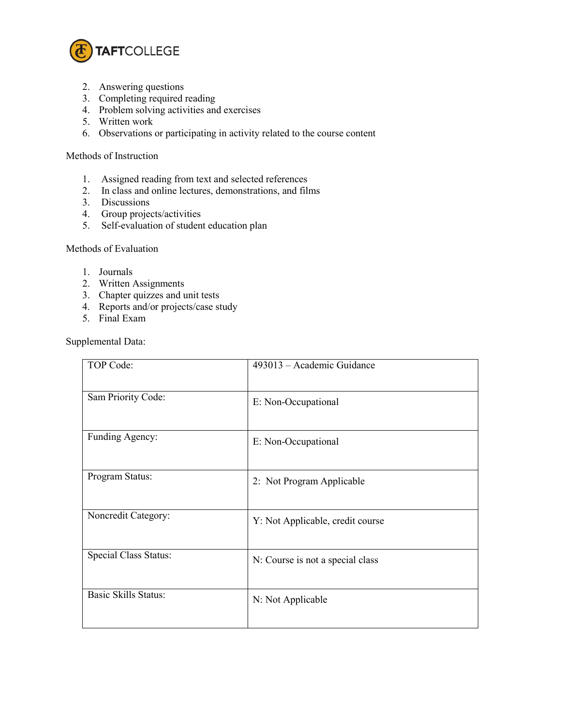

- 2. Answering questions
- 3. Completing required reading
- 4. Problem solving activities and exercises
- 5. Written work
- 6. Observations or participating in activity related to the course content

## Methods of Instruction

- 1. Assigned reading from text and selected references
- 2. In class and online lectures, demonstrations, and films
- 3. Discussions
- 4. Group projects/activities
- 5. Self-evaluation of student education plan

## Methods of Evaluation

- 1. Journals
- 2. Written Assignments
- 3. Chapter quizzes and unit tests
- 4. Reports and/or projects/case study
- 5. Final Exam

Supplemental Data:

| TOP Code:                    | 493013 – Academic Guidance       |
|------------------------------|----------------------------------|
| Sam Priority Code:           | E: Non-Occupational              |
| Funding Agency:              | E: Non-Occupational              |
| Program Status:              | 2: Not Program Applicable        |
| Noncredit Category:          | Y: Not Applicable, credit course |
| <b>Special Class Status:</b> | N: Course is not a special class |
| <b>Basic Skills Status:</b>  | N: Not Applicable                |